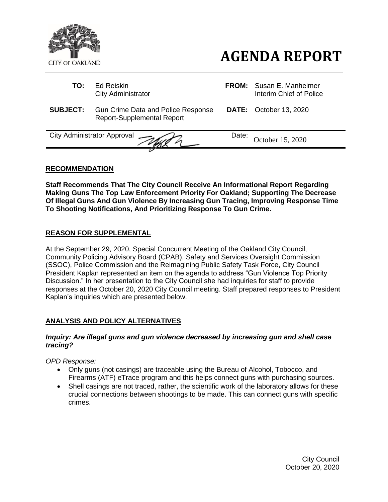

- **AGENDA REPORT**
- **TO:** Ed Reiskin **FROM:** Susan E. Manheimer City Administrator **Interim Chief of Police SUBJECT:** Gun Crime Data and Police Response Report-Supplemental Report **DATE:** October 13, 2020 City Administrator Approval  $\sim$ October 15, 2020

## **RECOMMENDATION**

**Staff Recommends That The City Council Receive An Informational Report Regarding Making Guns The Top Law Enforcement Priority For Oakland; Supporting The Decrease Of Illegal Guns And Gun Violence By Increasing Gun Tracing, Improving Response Time To Shooting Notifications, And Prioritizing Response To Gun Crime.**

## **REASON FOR SUPPLEMENTAL**

At the September 29, 2020, Special Concurrent Meeting of the Oakland City Council, Community Policing Advisory Board (CPAB), Safety and Services Oversight Commission (SSOC), Police Commission and the Reimagining Public Safety Task Force, City Council President Kaplan represented an item on the agenda to address "Gun Violence Top Priority Discussion." In her presentation to the City Council she had inquiries for staff to provide responses at the October 20, 2020 City Council meeting. Staff prepared responses to President Kaplan's inquiries which are presented below.

# **ANALYSIS AND POLICY ALTERNATIVES**

## *Inquiry: Are illegal guns and gun violence decreased by increasing gun and shell case tracing?*

*OPD Response:*

- Only guns (not casings) are traceable using the Bureau of Alcohol, Tobocco, and Firearms (ATF) eTrace program and this helps connect guns with purchasing sources.
- Shell casings are not traced, rather, the scientific work of the laboratory allows for these crucial connections between shootings to be made. This can connect guns with specific crimes.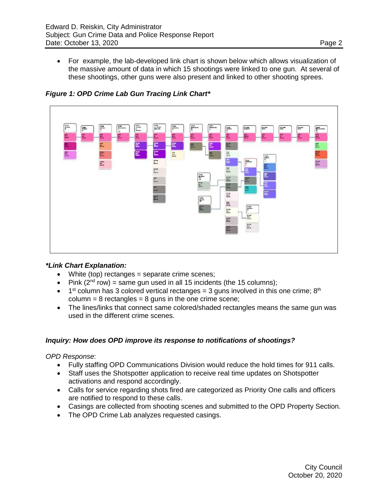• For example, the lab-developed link chart is shown below which allows visualization of the massive amount of data in which 15 shootings were linked to one gun. At several of these shootings, other guns were also present and linked to other shooting sprees.



# *Figure 1: OPD Crime Lab Gun Tracing Link Chart\**

## *\*Link Chart Explanation:*

- White (top) rectanges = separate crime scenes;
- Pink  $(2^{nd} row)$  = same gun used in all 15 incidents (the 15 columns);
- 1<sup>st</sup> column has 3 colored vertical rectanges = 3 guns involved in this one crime;  $8<sup>th</sup>$  $column = 8$  rectangles = 8 guns in the one crime scene;
- The lines/links that connect same colored/shaded rectangles means the same gun was used in the different crime scenes.

## *Inquiry: How does OPD improve its response to notifications of shootings?*

*OPD Response*:

- Fully staffing OPD Communications Division would reduce the hold times for 911 calls.
- Staff uses the Shotspotter application to receive real time updates on Shotspotter activations and respond accordingly.
- Calls for service regarding shots fired are categorized as Priority One calls and officers are notified to respond to these calls.
- Casings are collected from shooting scenes and submitted to the OPD Property Section.
- The OPD Crime Lab analyzes requested casings.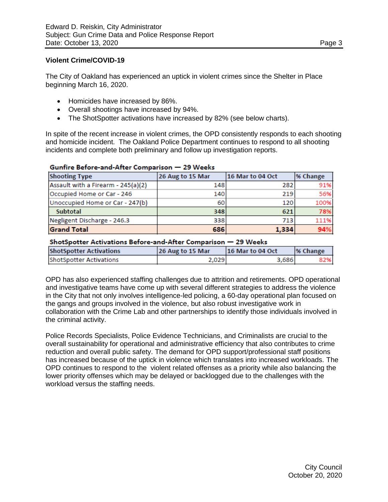## **Violent Crime/COVID-19**

The City of Oakland has experienced an uptick in violent crimes since the Shelter in Place beginning March 16, 2020.

- Homicides have increased by 86%.
- Overall shootings have increased by 94%.
- The ShotSpotter activations have increased by 82% (see below charts).

In spite of the recent increase in violent crimes, the OPD consistently responds to each shooting and homicide incident. The Oakland Police Department continues to respond to all shooting incidents and complete both preliminary and follow up investigation reports.

| <b>Shooting Type</b>               | 26 Aug to 15 Mar | 16 Mar to 04 Oct | % Change |  |  |
|------------------------------------|------------------|------------------|----------|--|--|
| Assault with a Firearm - 245(a)(2) | 148              | 282              | 91%      |  |  |
| Occupied Home or Car - 246         | 140              | 219              | 56%      |  |  |
| Unoccupied Home or Car - 247(b)    | 60               | 120              | 100%     |  |  |
| <b>Subtotal</b>                    | 348              | 621              | 78%      |  |  |
| Negligent Discharge - 246.3        | 338              | 713              | 111%     |  |  |
| <b>Grand Total</b>                 | 686              | 1,334            | 94%      |  |  |

## Gunfire Before-and-After Comparison - 29 Weeks

#### ShotSpotter Activations Before-and-After Comparison - 29 Weeks

| <b>ShotSpotter Activations</b> | 26 Aug to 15 Mar | <b>116 Mar to 04 Oct</b> | <sup>96</sup> Change |
|--------------------------------|------------------|--------------------------|----------------------|
| ShotSpotter Activations        | 2,029            | 3,686                    | 82%I                 |

OPD has also experienced staffing challenges due to attrition and retirements. OPD operational and investigative teams have come up with several different strategies to address the violence in the City that not only involves intelligence-led policing, a 60-day operational plan focused on the gangs and groups involved in the violence, but also robust investigative work in collaboration with the Crime Lab and other partnerships to identify those individuals involved in the criminal activity.

Police Records Specialists, Police Evidence Technicians, and Criminalists are crucial to the overall sustainability for operational and administrative efficiency that also contributes to crime reduction and overall public safety. The demand for OPD support/professional staff positions has increased because of the uptick in violence which translates into increased workloads. The OPD continues to respond to the violent related offenses as a priority while also balancing the lower priority offenses which may be delayed or backlogged due to the challenges with the workload versus the staffing needs.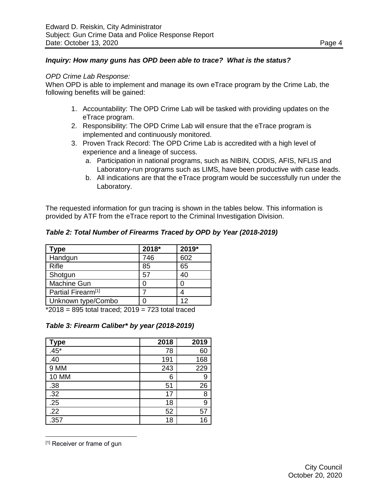## *Inquiry: How many guns has OPD been able to trace? What is the status?*

### *OPD Crime Lab Response:*

When OPD is able to implement and manage its own eTrace program by the Crime Lab, the following benefits will be gained:

- 1. Accountability: The OPD Crime Lab will be tasked with providing updates on the eTrace program.
- 2. Responsibility: The OPD Crime Lab will ensure that the eTrace program is implemented and continuously monitored.
- 3. Proven Track Record: The OPD Crime Lab is accredited with a high level of experience and a lineage of success.
	- a. Participation in national programs, such as NIBIN, CODIS, AFIS, NFLIS and Laboratory-run programs such as LIMS, have been productive with case leads.
	- b. All indications are that the eTrace program would be successfully run under the Laboratory.

The requested information for gun tracing is shown in the tables below. This information is provided by ATF from the eTrace report to the Criminal Investigation Division.

| <b>Type</b>                    | 2018* | 2019* |
|--------------------------------|-------|-------|
| Handgun                        | 746   | 602   |
| <b>Rifle</b>                   | 85    | 65    |
| Shotgun                        | 57    | 40    |
| Machine Gun                    |       | Ⴖ     |
| Partial Firearm <sup>[1]</sup> |       |       |
| Unknown type/Combo             |       | 12    |

 $*2018 = 895$  total traced;  $2019 = 723$  total traced

| Table 3: Firearm Caliber* by year (2018-2019) |  |  |  |
|-----------------------------------------------|--|--|--|
|-----------------------------------------------|--|--|--|

|                   | 2018 | 2019 |
|-------------------|------|------|
| Type<br>$.45*$    | 78   | 60   |
| .40               | 191  | 168  |
| 9 MM              | 243  | 229  |
| <b>10 MM</b>      | 6    | 9    |
| <u>.38</u>        | 51   | 26   |
| $\frac{1}{2}$     | 17   | 8    |
|                   | 18   | 9    |
| $\frac{.25}{.22}$ | 52   | 57   |
| .357              | 18   | 16   |

<sup>[1]</sup> Receiver or frame of gun

 $\overline{a}$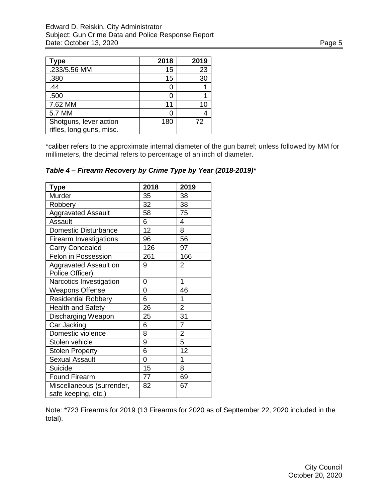| Type                     | 2018 | 2019 |
|--------------------------|------|------|
| .233/5.56 MM             | 15   | 23   |
| .380                     | 15   | 30   |
| .44                      |      |      |
| .500                     |      |      |
| 7.62 MM                  | 11   | 10   |
| 5.7 MM                   |      |      |
| Shotguns, lever action   | 180  | 72   |
| rifles, long guns, misc. |      |      |

\*caliber refers to the approximate internal diameter of the gun barrel; unless followed by MM for millimeters, the decimal refers to percentage of an inch of diameter.

| <b>Type</b>                                      | 2018 | 2019           |
|--------------------------------------------------|------|----------------|
| Murder                                           | 35   | 38             |
| Robbery                                          | 32   | 38             |
| <b>Aggravated Assault</b>                        | 58   | 75             |
| Assault                                          | 6    | 4              |
| <b>Domestic Disturbance</b>                      | 12   | 8              |
| <b>Firearm Investigations</b>                    | 96   | 56             |
| <b>Carry Concealed</b>                           | 126  | 97             |
| Felon in Possession                              | 261  | 166            |
| Aggravated Assault on                            | 9    | 2              |
| Police Officer)                                  |      |                |
| Narcotics Investigation                          | 0    | 1              |
| <b>Weapons Offense</b>                           | 0    | 46             |
| <b>Residential Robbery</b>                       | 6    | 1              |
| <b>Health and Safety</b>                         | 26   | $\overline{2}$ |
| Discharging Weapon                               | 25   | 31             |
| Car Jacking                                      | 6    | $\overline{7}$ |
| Domestic violence                                | 8    | $\overline{c}$ |
| Stolen vehicle                                   | 9    | 5              |
| <b>Stolen Property</b>                           | 6    | 12             |
| <b>Sexual Assault</b>                            | 0    | 1              |
| Suicide                                          | 15   | 8              |
| <b>Found Firearm</b>                             | 77   | 69             |
| Miscellaneous (surrender,<br>safe keeping, etc.) | 82   | 67             |

*Table 4 – Firearm Recovery by Crime Type by Year (2018-2019)\**

Note: \*723 Firearms for 2019 (13 Firearms for 2020 as of Septtember 22, 2020 included in the total).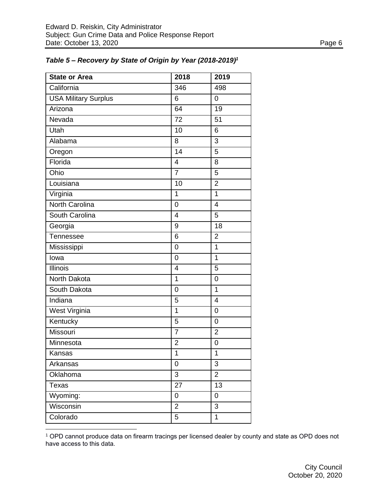| <b>State or Area</b>        | 2018                    | 2019           |
|-----------------------------|-------------------------|----------------|
| California                  | 346                     | 498            |
| <b>USA Military Surplus</b> | 6                       | $\overline{0}$ |
| Arizona                     | 64                      | 19             |
| Nevada                      | 72                      | 51             |
| Utah                        | 10                      | 6              |
| Alabama                     | 8                       | 3              |
| Oregon                      | 14                      | 5              |
| Florida                     | $\overline{\mathbf{4}}$ | 8              |
| Ohio                        | $\overline{7}$          | 5              |
| Louisiana                   | 10                      | $\overline{2}$ |
| Virginia                    | 1                       | 1              |
| North Carolina              | 0                       | $\overline{4}$ |
| South Carolina              | $\overline{4}$          | 5              |
| Georgia                     | 9                       | 18             |
| Tennessee                   | 6                       | $\overline{2}$ |
| Mississippi                 | $\overline{0}$          | $\overline{1}$ |
| lowa                        | 0                       | $\overline{1}$ |
| <b>Illinois</b>             | $\overline{4}$          | 5              |
| North Dakota                | $\mathbf 1$             | $\overline{0}$ |
| South Dakota                | $\overline{0}$          | 1              |
| Indiana                     | 5                       | $\overline{4}$ |
| <b>West Virginia</b>        | $\overline{1}$          | $\overline{0}$ |
| Kentucky                    | 5                       | $\overline{0}$ |
| Missouri                    | $\overline{7}$          | $\overline{2}$ |
| Minnesota                   | $\overline{2}$          | 0              |
| Kansas                      | 1                       | 1              |
| Arkansas                    | 0                       | 3              |
| Oklahoma                    | 3                       | $\overline{2}$ |
| Texas                       | 27                      | 13             |
| Wyoming:                    | 0                       | 0              |
| Wisconsin                   | $\overline{2}$          | 3              |
| Colorado                    | 5                       | 1              |

 $\overline{a}$ 

# *Table 5 – Recovery by State of Origin by Year (2018-2019)<sup>1</sup>*

<sup>1</sup> OPD cannot produce data on firearm tracings per licensed dealer by county and state as OPD does not have access to this data.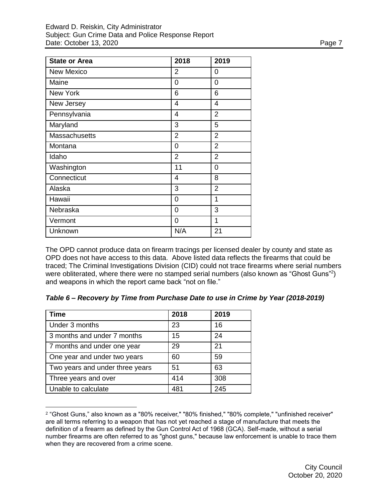| <b>State or Area</b> | 2018           | 2019           |
|----------------------|----------------|----------------|
| <b>New Mexico</b>    | 2              | 0              |
| Maine                | 0              | 0              |
| <b>New York</b>      | 6              | 6              |
| New Jersey           | $\overline{4}$ | 4              |
| Pennsylvania         | $\overline{4}$ | $\overline{2}$ |
| Maryland             | 3              | 5              |
| <b>Massachusetts</b> | $\overline{2}$ | $\overline{2}$ |
| Montana              | 0              | $\overline{2}$ |
| Idaho                | $\overline{2}$ | $\overline{2}$ |
| Washington           | 11             | $\overline{0}$ |
| Connecticut          | 4              | 8              |
| Alaska               | 3              | $\overline{2}$ |
| Hawaii               | 0              | 1              |
| Nebraska             | 0              | 3              |
| Vermont              | 0              | 1              |
| Unknown              | N/A            | 21             |

The OPD cannot produce data on firearm tracings per licensed dealer by county and state as OPD does not have access to this data. Above listed data reflects the firearms that could be traced; The Criminal Investigations Division (CID) could not trace firearms where serial numbers were obliterated, where there were no stamped serial numbers (also known as "Ghost Guns"<sup>2</sup>) and weapons in which the report came back "not on file."

| Table 6 - Recovery by Time from Purchase Date to use in Crime by Year (2018-2019) |  |  |  |  |  |  |  |
|-----------------------------------------------------------------------------------|--|--|--|--|--|--|--|
|-----------------------------------------------------------------------------------|--|--|--|--|--|--|--|

| <b>Time</b>                     | 2018 | 2019 |
|---------------------------------|------|------|
| Under 3 months                  | 23   | 16   |
| 3 months and under 7 months     | 15   | 24   |
| 7 months and under one year     | 29   | 21   |
| One year and under two years    | 60   | 59   |
| Two years and under three years | 51   | 63   |
| Three years and over            | 414  | 308  |
| Unable to calculate             | 481  | 245  |

 $\overline{a}$ 

<sup>2</sup> "Ghost Guns," also known as a "80% receiver," "80% finished," "80% complete," "unfinished receiver" are all terms referring to a weapon that has not yet reached a stage of manufacture that meets the definition of a firearm as defined by the Gun Control Act of 1968 (GCA). Self-made, without a serial number firearms are often referred to as "ghost guns," because law enforcement is unable to trace them when they are recovered from a crime scene.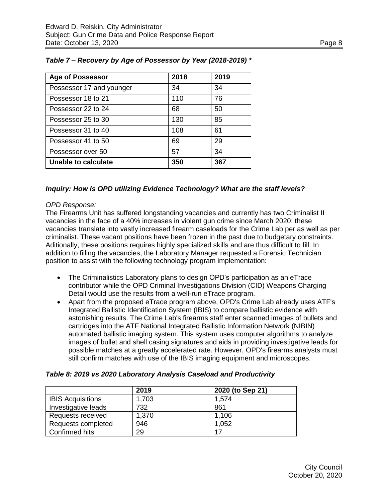| <b>Age of Possessor</b>  | 2018 | 2019 |
|--------------------------|------|------|
| Possessor 17 and younger | 34   | 34   |
| Possessor 18 to 21       | 110  | 76   |
| Possessor 22 to 24       | 68   | 50   |
| Possessor 25 to 30       | 130  | 85   |
| Possessor 31 to 40       | 108  | 61   |
| Possessor 41 to 50       | 69   | 29   |
| Possessor over 50        | 57   | 34   |
| Unable to calculate      | 350  | 367  |

# *Table 7 – Recovery by Age of Possessor by Year (2018-2019) \**

## *Inquiry: How is OPD utilizing Evidence Technology? What are the staff levels?*

## *OPD Response:*

The Firearms Unit has suffered longstanding vacancies and currently has two Criminalist II vacancies in the face of a 40% increases in violent gun crime since March 2020; these vacancies translate into vastly increased firearm caseloads for the Crime Lab per as well as per criminalist. These vacant positions have been frozen in the past due to budgetary constraints. Aditionally, these positions requires highly specialized skills and are thus difficult to fill. In addition to filling the vacancies, the Laboratory Manager requested a Forensic Technician position to assist with the following technology program implementation:

- The Criminalistics Laboratory plans to design OPD's participation as an eTrace contributor while the OPD Criminal Investigations Division (CID) Weapons Charging Detail would use the results from a well-run eTrace program.
- Apart from the proposed eTrace program above, OPD's Crime Lab already uses ATF's Integrated Ballistic Identification System (IBIS) to compare ballistic evidence with astonishing results. The Crime Lab's firearms staff enter scanned images of bullets and cartridges into the ATF National Integrated Ballistic Information Network (NIBIN) automated ballistic imaging system. This system uses computer algorithms to analyze images of bullet and shell casing signatures and aids in providing investigative leads for possible matches at a greatly accelerated rate. However, OPD's firearms analysts must still confirm matches with use of the IBIS imaging equipment and microscopes.

|                          | 2019  | 2020 (to Sep 21) |
|--------------------------|-------|------------------|
| <b>IBIS Acquisitions</b> | 1,703 | 1.574            |
| Investigative leads      | 732   | 861              |
| Requests received        | 1,370 | 1.106            |
| Requests completed       | 946   | 1,052            |
| Confirmed hits           | 29    | 17               |

## *Table 8: 2019 vs 2020 Laboratory Analysis Caseload and Productivity*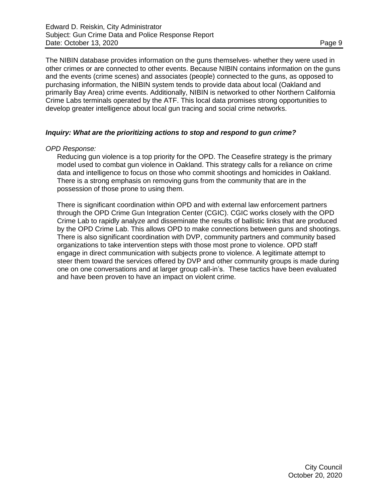The NIBIN database provides information on the guns themselves- whether they were used in other crimes or are connected to other events. Because NIBIN contains information on the guns and the events (crime scenes) and associates (people) connected to the guns, as opposed to purchasing information, the NIBIN system tends to provide data about local (Oakland and primarily Bay Area) crime events. Additionally, NIBIN is networked to other Northern California Crime Labs terminals operated by the ATF. This local data promises strong opportunities to develop greater intelligence about local gun tracing and social crime networks.

## *Inquiry: What are the prioritizing actions to stop and respond to gun crime?*

### *OPD Response:*

Reducing gun violence is a top priority for the OPD. The Ceasefire strategy is the primary model used to combat gun violence in Oakland. This strategy calls for a reliance on crime data and intelligence to focus on those who commit shootings and homicides in Oakland. There is a strong emphasis on removing guns from the community that are in the possession of those prone to using them.

There is significant coordination within OPD and with external law enforcement partners through the OPD Crime Gun Integration Center (CGIC). CGIC works closely with the OPD Crime Lab to rapidly analyze and disseminate the results of ballistic links that are produced by the OPD Crime Lab. This allows OPD to make connections between guns and shootings. There is also significant coordination with DVP, community partners and community based organizations to take intervention steps with those most prone to violence. OPD staff engage in direct communication with subjects prone to violence. A legitimate attempt to steer them toward the services offered by DVP and other community groups is made during one on one conversations and at larger group call-in's. These tactics have been evaluated and have been proven to have an impact on violent crime.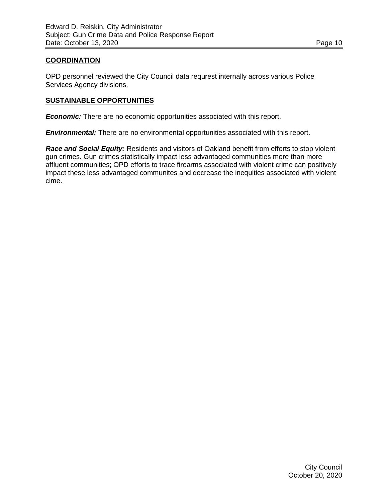## **COORDINATION**

OPD personnel reviewed the City Council data requrest internally across various Police Services Agency divisions.

### **SUSTAINABLE OPPORTUNITIES**

*Economic:* There are no economic opportunities associated with this report.

*Environmental:* There are no environmental opportunities associated with this report.

*Race and Social Equity:* Residents and visitors of Oakland benefit from efforts to stop violent gun crimes. Gun crimes statistically impact less advantaged communities more than more affluent communities; OPD efforts to trace firearms associated with violent crime can positively impact these less advantaged communites and decrease the inequities associated with violent cime.